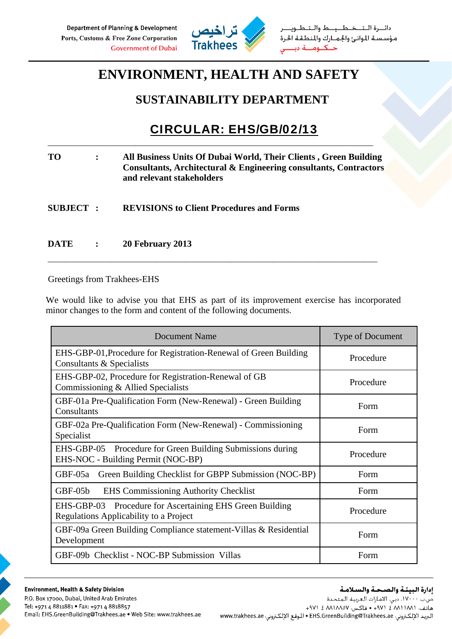

دائـــرة الــتـــخــطـــيـــط والــتــ مؤسسة الموانئ والجمارك والمنطقة الحرة  $\leq$ 

## **ENVIRONMENT, HEALTH AND SAFETY**

## **SUSTAINABILITY DEPARTMENT**

## CIRCULAR: EHS/GB/02/13

**TO : All Business Units Of Dubai World, Their Clients , Green Building Consultants, Architectural & Engineering consultants, Contractors and relevant stakeholders** 

\_\_\_\_\_\_\_\_\_\_\_\_\_\_\_\_\_\_\_\_\_\_\_\_\_\_\_\_\_\_\_\_\_\_\_\_\_\_\_\_\_\_\_\_\_\_\_\_\_\_\_\_\_\_\_\_\_\_\_\_\_\_\_\_\_\_\_\_\_\_\_\_\_\_\_\_\_\_

- **SUBJECT : REVISIONS to Client Procedures and Forms**
- **DATE : 20 February 2013**

Greetings from Trakhees-EHS

We would like to advise you that EHS as part of its improvement exercise has incorporated minor changes to the form and content of the following documents.

\_\_\_\_\_\_\_\_\_\_\_\_\_\_\_\_\_\_\_\_\_\_\_\_\_\_\_\_\_\_\_\_\_\_\_\_\_\_\_\_\_\_\_\_\_\_\_\_\_\_\_\_\_\_\_\_\_\_\_\_\_\_\_\_\_\_\_\_\_\_\_\_\_\_\_\_\_\_\_

| <b>Document Name</b>                                                                                         | <b>Type of Document</b> |
|--------------------------------------------------------------------------------------------------------------|-------------------------|
| EHS-GBP-01, Procedure for Registration-Renewal of Green Building<br>Consultants & Specialists                | Procedure               |
| EHS-GBP-02, Procedure for Registration-Renewal of GB<br>Commissioning & Allied Specialists                   | Procedure               |
| GBF-01a Pre-Qualification Form (New-Renewal) - Green Building<br>Consultants                                 | Form                    |
| GBF-02a Pre-Qualification Form (New-Renewal) - Commissioning<br>Specialist                                   | Form                    |
| EHS-GBP-05 Procedure for Green Building Submissions during<br>EHS-NOC - Building Permit (NOC-BP)             | Procedure               |
| Green Building Checklist for GBPP Submission (NOC-BP)<br>GBF-05a                                             | Form                    |
| <b>EHS</b> Commissioning Authority Checklist<br>$GBF-05b$                                                    | Form                    |
| <b>Procedure for Ascertaining EHS Green Building</b><br>EHS-GBP-03<br>Regulations Applicability to a Project | Procedure               |
| GBF-09a Green Building Compliance statement-Villas & Residential<br>Development                              | Form                    |
| GBF-09b Checklist - NOC-BP Submission Villas                                                                 | Form                    |